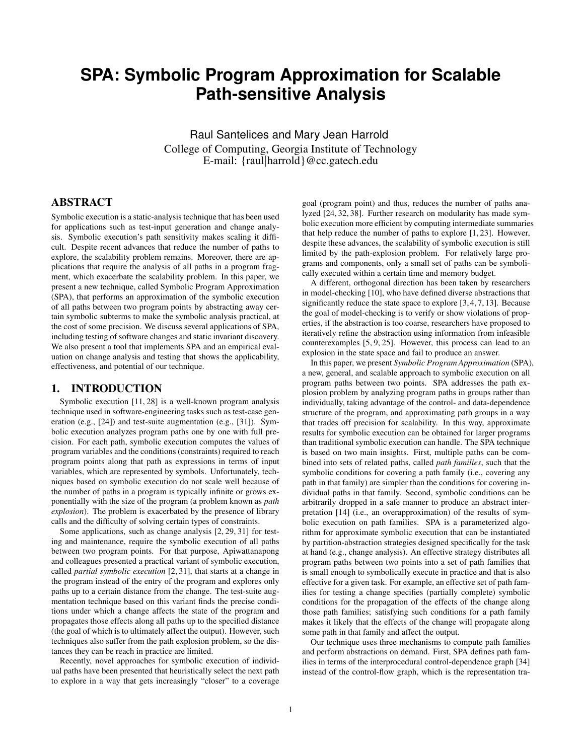# **SPA: Symbolic Program Approximation for Scalable Path-sensitive Analysis**

Raul Santelices and Mary Jean Harrold College of Computing, Georgia Institute of Technology E-mail: {raul|harrold}@cc.gatech.edu

# ABSTRACT

Symbolic execution is a static-analysis technique that has been used for applications such as test-input generation and change analysis. Symbolic execution's path sensitivity makes scaling it difficult. Despite recent advances that reduce the number of paths to explore, the scalability problem remains. Moreover, there are applications that require the analysis of all paths in a program fragment, which exacerbate the scalability problem. In this paper, we present a new technique, called Symbolic Program Approximation (SPA), that performs an approximation of the symbolic execution of all paths between two program points by abstracting away certain symbolic subterms to make the symbolic analysis practical, at the cost of some precision. We discuss several applications of SPA, including testing of software changes and static invariant discovery. We also present a tool that implements SPA and an empirical evaluation on change analysis and testing that shows the applicability, effectiveness, and potential of our technique.

## 1. INTRODUCTION

Symbolic execution [11, 28] is a well-known program analysis technique used in software-engineering tasks such as test-case generation (e.g., [24]) and test-suite augmentation (e.g., [31]). Symbolic execution analyzes program paths one by one with full precision. For each path, symbolic execution computes the values of program variables and the conditions (constraints) required to reach program points along that path as expressions in terms of input variables, which are represented by symbols. Unfortunately, techniques based on symbolic execution do not scale well because of the number of paths in a program is typically infinite or grows exponentially with the size of the program (a problem known as *path explosion*). The problem is exacerbated by the presence of library calls and the difficulty of solving certain types of constraints.

Some applications, such as change analysis [2, 29, 31] for testing and maintenance, require the symbolic execution of all paths between two program points. For that purpose, Apiwattanapong and colleagues presented a practical variant of symbolic execution, called *partial symbolic execution* [2, 31], that starts at a change in the program instead of the entry of the program and explores only paths up to a certain distance from the change. The test-suite augmentation technique based on this variant finds the precise conditions under which a change affects the state of the program and propagates those effects along all paths up to the specified distance (the goal of which is to ultimately affect the output). However, such techniques also suffer from the path explosion problem, so the distances they can be reach in practice are limited.

Recently, novel approaches for symbolic execution of individual paths have been presented that heuristically select the next path to explore in a way that gets increasingly "closer" to a coverage

goal (program point) and thus, reduces the number of paths analyzed [24, 32, 38]. Further research on modularity has made symbolic execution more efficient by computing intermediate summaries that help reduce the number of paths to explore [1, 23]. However, despite these advances, the scalability of symbolic execution is still limited by the path-explosion problem. For relatively large programs and components, only a small set of paths can be symbolically executed within a certain time and memory budget.

A different, orthogonal direction has been taken by researchers in model-checking [10], who have defined diverse abstractions that significantly reduce the state space to explore [3, 4, 7, 13]. Because the goal of model-checking is to verify or show violations of properties, if the abstraction is too coarse, researchers have proposed to iteratively refine the abstraction using information from infeasible counterexamples [5, 9, 25]. However, this process can lead to an explosion in the state space and fail to produce an answer.

In this paper, we present *Symbolic Program Approximation* (SPA), a new, general, and scalable approach to symbolic execution on all program paths between two points. SPA addresses the path explosion problem by analyzing program paths in groups rather than individually, taking advantage of the control- and data-dependence structure of the program, and approximating path groups in a way that trades off precision for scalability. In this way, approximate results for symbolic execution can be obtained for larger programs than traditional symbolic execution can handle. The SPA technique is based on two main insights. First, multiple paths can be combined into sets of related paths, called *path families*, such that the symbolic conditions for covering a path family (i.e., covering any path in that family) are simpler than the conditions for covering individual paths in that family. Second, symbolic conditions can be arbitrarily dropped in a safe manner to produce an abstract interpretation [14] (i.e., an overapproximation) of the results of symbolic execution on path families. SPA is a parameterized algorithm for approximate symbolic execution that can be instantiated by partition-abstraction strategies designed specifically for the task at hand (e.g., change analysis). An effective strategy distributes all program paths between two points into a set of path families that is small enough to symbolically execute in practice and that is also effective for a given task. For example, an effective set of path families for testing a change specifies (partially complete) symbolic conditions for the propagation of the effects of the change along those path families; satisfying such conditions for a path family makes it likely that the effects of the change will propagate along some path in that family and affect the output.

Our technique uses three mechanisms to compute path families and perform abstractions on demand. First, SPA defines path families in terms of the interprocedural control-dependence graph [34] instead of the control-flow graph, which is the representation tra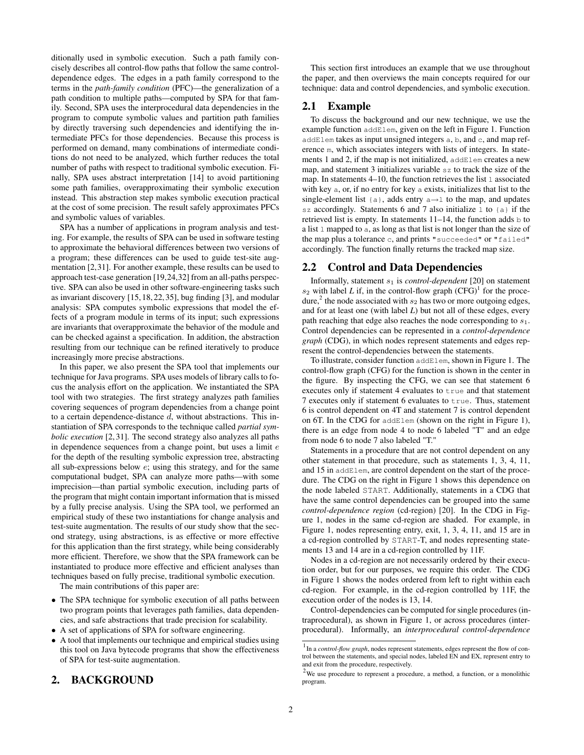ditionally used in symbolic execution. Such a path family concisely describes all control-flow paths that follow the same controldependence edges. The edges in a path family correspond to the terms in the *path-family condition* (PFC)—the generalization of a path condition to multiple paths—computed by SPA for that family. Second, SPA uses the interprocedural data dependencies in the program to compute symbolic values and partition path families by directly traversing such dependencies and identifying the intermediate PFCs for those dependencies. Because this process is performed on demand, many combinations of intermediate conditions do not need to be analyzed, which further reduces the total number of paths with respect to traditional symbolic execution. Finally, SPA uses abstract interpretation [14] to avoid partitioning some path families, overapproximating their symbolic execution instead. This abstraction step makes symbolic execution practical at the cost of some precision. The result safely approximates PFCs and symbolic values of variables.

SPA has a number of applications in program analysis and testing. For example, the results of SPA can be used in software testing to approximate the behavioral differences between two versions of a program; these differences can be used to guide test-site augmentation [2,31]. For another example, these results can be used to approach test-case generation [19,24,32] from an all-paths perspective. SPA can also be used in other software-engineering tasks such as invariant discovery [15, 18, 22, 35], bug finding [3], and modular analysis: SPA computes symbolic expressions that model the effects of a program module in terms of its input; such expressions are invariants that overapproximate the behavior of the module and can be checked against a specification. In addition, the abstraction resulting from our technique can be refined iteratively to produce increasingly more precise abstractions.

In this paper, we also present the SPA tool that implements our technique for Java programs. SPA uses models of library calls to focus the analysis effort on the application. We instantiated the SPA tool with two strategies. The first strategy analyzes path families covering sequences of program dependencies from a change point to a certain dependence-distance  $d$ , without abstractions. This instantiation of SPA corresponds to the technique called *partial symbolic execution* [2, 31]. The second strategy also analyzes all paths in dependence sequences from a change point, but uses a limit  $e$ for the depth of the resulting symbolic expression tree, abstracting all sub-expressions below e; using this strategy, and for the same computational budget, SPA can analyze more paths—with some imprecision—than partial symbolic execution, including parts of the program that might contain important information that is missed by a fully precise analysis. Using the SPA tool, we performed an empirical study of these two instantiations for change analysis and test-suite augmentation. The results of our study show that the second strategy, using abstractions, is as effective or more effective for this application than the first strategy, while being considerably more efficient. Therefore, we show that the SPA framework can be instantiated to produce more effective and efficient analyses than techniques based on fully precise, traditional symbolic execution.

The main contributions of this paper are:

- The SPA technique for symbolic execution of all paths between two program points that leverages path families, data dependencies, and safe abstractions that trade precision for scalability.
- A set of applications of SPA for software engineering.
- A tool that implements our technique and empirical studies using this tool on Java bytecode programs that show the effectiveness of SPA for test-suite augmentation.

# 2. BACKGROUND

This section first introduces an example that we use throughout the paper, and then overviews the main concepts required for our technique: data and control dependencies, and symbolic execution.

#### 2.1 Example

To discuss the background and our new technique, we use the example function addElem, given on the left in Figure 1. Function addElem takes as input unsigned integers a, b, and c, and map reference m, which associates integers with lists of integers. In statements 1 and 2, if the map is not initialized, addElem creates a new map, and statement 3 initializes variable sz to track the size of the map. In statements 4–10, the function retrieves the list l associated with key a, or, if no entry for key a exists, initializes that list to the single-element list {a}, adds entry a→l to the map, and updates sz accordingly. Statements 6 and 7 also initialize 1 to  $\{a\}$  if the retrieved list is empty. In statements  $11-14$ , the function adds b to a list l mapped to a, as long as that list is not longer than the size of the map plus a tolerance c, and prints "succeeded" or "failed" accordingly. The function finally returns the tracked map size.

## 2.2 Control and Data Dependencies

Informally, statement  $s_1$  is *control-dependent* [20] on statement  $s_2$  with label *L* if, in the control-flow graph  $(CFG)^1$  for the procedure,<sup>2</sup> the node associated with  $s_2$  has two or more outgoing edges, and for at least one (with label *L*) but not all of these edges, every path reaching that edge also reaches the node corresponding to  $s_1$ . Control dependencies can be represented in a *control-dependence graph* (CDG), in which nodes represent statements and edges represent the control-dependencies between the statements.

To illustrate, consider function addElem, shown in Figure 1. The control-flow graph (CFG) for the function is shown in the center in the figure. By inspecting the CFG, we can see that statement 6 executes only if statement 4 evaluates to true and that statement 7 executes only if statement 6 evaluates to true. Thus, statement 6 is control dependent on 4T and statement 7 is control dependent on 6T. In the CDG for addElem (shown on the right in Figure 1), there is an edge from node 4 to node 6 labeled "T" and an edge from node 6 to node 7 also labeled "T."

Statements in a procedure that are not control dependent on any other statement in that procedure, such as statements 1, 3, 4, 11, and 15 in addElem, are control dependent on the start of the procedure. The CDG on the right in Figure 1 shows this dependence on the node labeled START. Additionally, statements in a CDG that have the same control dependencies can be grouped into the same *control-dependence region* (cd-region) [20]. In the CDG in Figure 1, nodes in the same cd-region are shaded. For example, in Figure 1, nodes representing entry, exit, 1, 3, 4, 11, and 15 are in a cd-region controlled by START-T, and nodes representing statements 13 and 14 are in a cd-region controlled by 11F.

Nodes in a cd-region are not necessarily ordered by their execution order, but for our purposes, we require this order. The CDG in Figure 1 shows the nodes ordered from left to right within each cd-region. For example, in the cd-region controlled by 11F, the execution order of the nodes is 13, 14.

Control-dependencies can be computed for single procedures (intraprocedural), as shown in Figure 1, or across procedures (interprocedural). Informally, an *interprocedural control-dependence*

<sup>&</sup>lt;sup>1</sup> In a *control-flow graph*, nodes represent statements, edges represent the flow of control between the statements, and special nodes, labeled EN and EX, represent entry to and exit from the procedure, respectively.

 $2$ We use procedure to represent a procedure, a method, a function, or a monolithic program.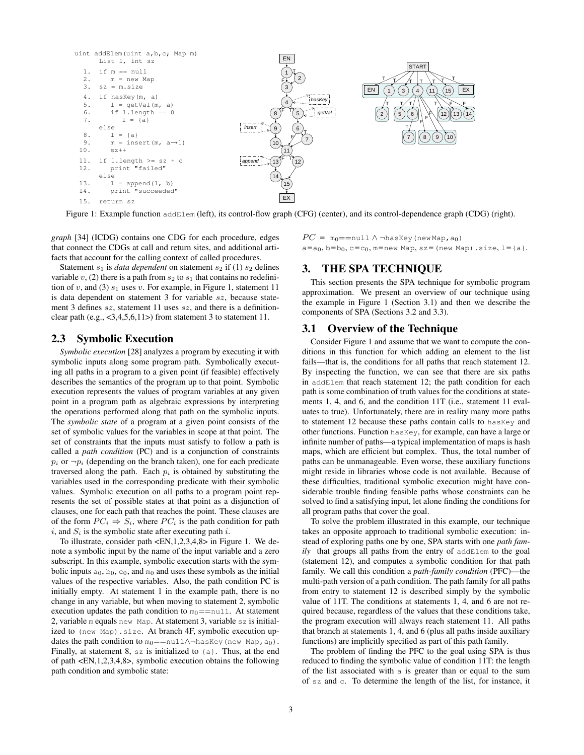

Figure 1: Example function addElem (left), its control-flow graph (CFG) (center), and its control-dependence graph (CDG) (right).

*graph* [34] (ICDG) contains one CDG for each procedure, edges that connect the CDGs at call and return sites, and additional artifacts that account for the calling context of called procedures.

Statement  $s_1$  is *data dependent* on statement  $s_2$  if (1)  $s_2$  defines variable v, (2) there is a path from  $s_2$  to  $s_1$  that contains no redefinition of v, and (3)  $s_1$  uses v. For example, in Figure 1, statement 11 is data dependent on statement 3 for variable sz, because statement 3 defines sz, statement 11 uses sz, and there is a definitionclear path (e.g.,  $\langle 3,4,5,6,11 \rangle$ ) from statement 3 to statement 11.

#### 2.3 Symbolic Execution

*Symbolic execution* [28] analyzes a program by executing it with symbolic inputs along some program path. Symbolically executing all paths in a program to a given point (if feasible) effectively describes the semantics of the program up to that point. Symbolic execution represents the values of program variables at any given point in a program path as algebraic expressions by interpreting the operations performed along that path on the symbolic inputs. The *symbolic state* of a program at a given point consists of the set of symbolic values for the variables in scope at that point. The set of constraints that the inputs must satisfy to follow a path is called a *path condition* (PC) and is a conjunction of constraints  $p_i$  or  $\neg p_i$  (depending on the branch taken), one for each predicate traversed along the path. Each  $p_i$  is obtained by substituting the variables used in the corresponding predicate with their symbolic values. Symbolic execution on all paths to a program point represents the set of possible states at that point as a disjunction of clauses, one for each path that reaches the point. These clauses are of the form  $PC_i \Rightarrow S_i$ , where  $PC_i$  is the path condition for path i, and  $S_i$  is the symbolic state after executing path i.

To illustrate, consider path <EN,1,2,3,4,8> in Figure 1. We denote a symbolic input by the name of the input variable and a zero subscript. In this example, symbolic execution starts with the symbolic inputs  $a_0$ ,  $b_0$ ,  $c_0$ , and  $m_0$  and uses these symbols as the initial values of the respective variables. Also, the path condition PC is initially empty. At statement 1 in the example path, there is no change in any variable, but when moving to statement 2, symbolic execution updates the path condition to  $m_0 == n$ ull. At statement 2, variable m equals new Map. At statement 3, variable sz is initialized to (new Map).size. At branch 4F, symbolic execution updates the path condition to  $m_0 = \text{null}\land \neg \text{hasKey}$  (new Map, a<sub>0</sub>). Finally, at statement 8,  $\sigma$  is initialized to  $\{\sigma\}$ . Thus, at the end of path <EN,1,2,3,4,8>, symbolic execution obtains the following path condition and symbolic state:

 $PC = m_0 = \text{null} \wedge \neg \text{hasKey}$  (new Map, a<sub>0</sub>)  $a=a_0$ ,  $b=b_0$ ,  $c=c_0$ ,  $m=$ new Map,  $sz=$  (new Map).size,  $l=\{a\}$ .

## 3. THE SPA TECHNIQUE

This section presents the SPA technique for symbolic program approximation. We present an overview of our technique using the example in Figure 1 (Section 3.1) and then we describe the components of SPA (Sections 3.2 and 3.3).

## 3.1 Overview of the Technique

Consider Figure 1 and assume that we want to compute the conditions in this function for which adding an element to the list fails—that is, the conditions for all paths that reach statement 12. By inspecting the function, we can see that there are six paths in addElem that reach statement 12; the path condition for each path is some combination of truth values for the conditions at statements 1, 4, and 6, and the condition 11T (i.e., statement 11 evaluates to true). Unfortunately, there are in reality many more paths to statement 12 because these paths contain calls to hasKey and other functions. Function hasKey, for example, can have a large or infinite number of paths—a typical implementation of maps is hash maps, which are efficient but complex. Thus, the total number of paths can be unmanageable. Even worse, these auxiliary functions might reside in libraries whose code is not available. Because of these difficulties, traditional symbolic execution might have considerable trouble finding feasible paths whose constraints can be solved to find a satisfying input, let alone finding the conditions for all program paths that cover the goal.

To solve the problem illustrated in this example, our technique takes an opposite approach to traditional symbolic execution: instead of exploring paths one by one, SPA starts with one *path family* that groups all paths from the entry of addElem to the goal (statement 12), and computes a symbolic condition for that path family. We call this condition a *path-family condition* (PFC)—the multi-path version of a path condition. The path family for all paths from entry to statement 12 is described simply by the symbolic value of 11T. The conditions at statements 1, 4, and 6 are not required because, regardless of the values that these conditions take, the program execution will always reach statement 11. All paths that branch at statements 1, 4, and 6 (plus all paths inside auxiliary functions) are implicitly specified as part of this path family.

The problem of finding the PFC to the goal using SPA is thus reduced to finding the symbolic value of condition 11T: the length of the list associated with a is greater than or equal to the sum of sz and c. To determine the length of the list, for instance, it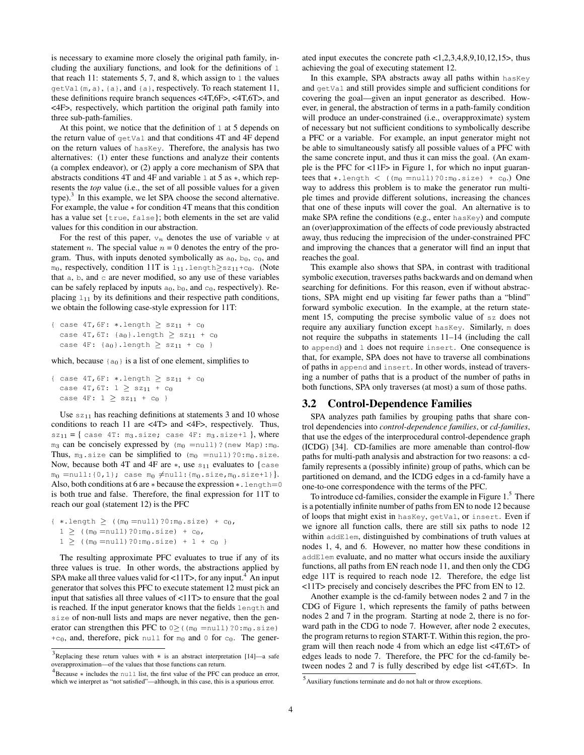is necessary to examine more closely the original path family, including the auxiliary functions, and look for the definitions of  $\perp$ that reach 11: statements 5, 7, and 8, which assign to  $1$  the values getVal(m,a), {a}, and {a}, respectively. To reach statement 11, these definitions require branch sequences <4T,6F>, <4T,6T>, and <4F>, respectively, which partition the original path family into three sub-path-families.

At this point, we notice that the definition of  $\perp$  at 5 depends on the return value of getVal and that conditions 4T and 4F depend on the return values of hasKey. Therefore, the analysis has two alternatives: (1) enter these functions and analyze their contents (a complex endeavor), or (2) apply a core mechanism of SPA that abstracts conditions 4T and 4F and variable l at 5 as ∗, which represents the *top* value (i.e., the set of all possible values for a given type).<sup>3</sup> In this example, we let SPA choose the second alternative. For example, the value ∗ for condition 4T means that this condition has a value set {true, false}; both elements in the set are valid values for this condition in our abstraction.

For the rest of this paper,  $v_n$  denotes the use of variable v at statement *n*. The special value  $n = 0$  denotes the entry of the program. Thus, with inputs denoted symbolically as  $a_0$ ,  $b_0$ ,  $c_0$ , and m<sub>0</sub>, respectively, condition 11T is  $l_{11}$ .length≥sz<sub>11</sub>+c<sub>0</sub>. (Note that  $a, b$ , and  $c$  are never modified, so any use of these variables can be safely replaced by inputs  $a_0$ ,  $b_0$ , and  $c_0$ , respectively). Replacing  $1_{11}$  by its definitions and their respective path conditions, we obtain the following case-style expression for 11T:

```
{ case 4T, 6F: *.length \geq sz_{11} + c_0case 4T, 6T: {a_0}. length \geq sz<sub>11</sub> + c<sub>0</sub>
case 4F: \{a_0\}. length \geq s_{11} + c_0 }
```
which, because  ${a_0}$  is a list of one element, simplifies to

```
{ case 4T, 6F: *.length \geq sz_{11} + c_0case 4T, 6T: 1 \geq s z_{11} + c_0case 4F: 1 \geq sz_{11} + c_0
```
Use  $sz_{11}$  has reaching definitions at statements 3 and 10 whose conditions to reach 11 are <4T> and <4F>, respectively. Thus,  $sz_{11} = \{ \text{case } 4T: \text{ m}_3.\text{size}; \text{case } 4F: \text{ m}_3.\text{size+1} \}, \text{where}$  $m_3$  can be concisely expressed by  $(m_0 = null)$ ? (new Map):  $m_0$ . Thus,  $m_3$ .size can be simplified to  $(m_0 = null)$ ?0:m<sub>0</sub>.size. Now, because both 4T and 4F are  $*$ , use  $s_{11}$  evaluates to {case  $m_0 = null: \{0, 1\}$ ; case  $m_0 \neq null: \{m_0.size, m_0.size+1\}$ . Also, both conditions at 6 are ∗ because the expression ∗. length=0 is both true and false. Therefore, the final expression for 11T to reach our goal (statement 12) is the PFC

```
{ *.length \geq ((m_0 = null)?0:m_0.size) + c_0,1 \geq ((m_0 = null) ?0 : m_0.size) + c_0,1 \geq ((m_0 = null) ?0 : m_0.size) + 1 + c_0
```
The resulting approximate PFC evaluates to true if any of its three values is true. In other words, the abstractions applied by SPA make all three values valid for  $\langle 11T \rangle$ , for any input.<sup>4</sup> An input generator that solves this PFC to execute statement 12 must pick an input that satisfies all three values of <11T> to ensure that the goal is reached. If the input generator knows that the fields length and size of non-null lists and maps are never negative, then the generator can strengthen this PFC to  $0 \geq (m_0 = null)$ ?0: $m_0$ .size) +c<sub>0</sub>, and, therefore, pick null for  $m_0$  and 0 for c<sub>0</sub>. The generated input executes the concrete path <1,2,3,4,8,9,10,12,15>, thus achieving the goal of executing statement 12.

In this example, SPA abstracts away all paths within hasKey and getVal and still provides simple and sufficient conditions for covering the goal—given an input generator as described. However, in general, the abstraction of terms in a path-family condition will produce an under-constrained (i.e., overapproximate) system of necessary but not sufficient conditions to symbolically describe a PFC or a variable. For example, an input generator might not be able to simultaneously satisfy all possible values of a PFC with the same concrete input, and thus it can miss the goal. (An example is the PFC for <11F> in Figure 1, for which no input guarantees that  $*$ .length  $\langle$  ((m<sub>0</sub> =null)?0:m<sub>0</sub>.size) + c<sub>0</sub>.) One way to address this problem is to make the generator run multiple times and provide different solutions, increasing the chances that one of these inputs will cover the goal. An alternative is to make SPA refine the conditions (e.g., enter hasKey) and compute an (over)approximation of the effects of code previously abstracted away, thus reducing the imprecision of the under-constrained PFC and improving the chances that a generator will find an input that reaches the goal.

This example also shows that SPA, in contrast with traditional symbolic execution, traverses paths backwards and on demand when searching for definitions. For this reason, even if without abstractions, SPA might end up visiting far fewer paths than a "blind" forward symbolic execution. In the example, at the return statement 15, computing the precise symbolic value of sz does not require any auxiliary function except hasKey. Similarly, m does not require the subpaths in statements 11–14 (including the call to append) and l does not require insert. One consequence is that, for example, SPA does not have to traverse all combinations of paths in append and insert. In other words, instead of traversing a number of paths that is a product of the number of paths in both functions, SPA only traverses (at most) a sum of those paths.

## 3.2 Control-Dependence Families

SPA analyzes path families by grouping paths that share control dependencies into *control-dependence families*, or *cd-families*, that use the edges of the interprocedural control-dependence graph (ICDG) [34]. CD-families are more amenable than control-flow paths for multi-path analysis and abstraction for two reasons: a cdfamily represents a (possibly infinite) group of paths, which can be partitioned on demand, and the ICDG edges in a cd-family have a one-to-one correspondence with the terms of the PFC.

To introduce cd-families, consider the example in Figure 1.<sup>5</sup> There is a potentially infinite number of paths from EN to node 12 because of loops that might exist in hasKey, getVal, or insert. Even if we ignore all function calls, there are still six paths to node 12 within addElem, distinguished by combinations of truth values at nodes 1, 4, and 6. However, no matter how these conditions in addElem evaluate, and no matter what occurs inside the auxiliary functions, all paths from EN reach node 11, and then only the CDG edge 11T is required to reach node 12. Therefore, the edge list <11T> precisely and concisely describes the PFC from EN to 12.

Another example is the cd-family between nodes 2 and 7 in the CDG of Figure 1, which represents the family of paths between nodes 2 and 7 in the program. Starting at node 2, there is no forward path in the CDG to node 7. However, after node 2 executes, the program returns to region START-T. Within this region, the program will then reach node 4 from which an edge list <4T,6T> of edges leads to node 7. Therefore, the PFC for the cd-family between nodes 2 and 7 is fully described by edge list <4T,6T>. In

<sup>&</sup>lt;sup>3</sup>Replacing these return values with ∗ is an abstract interpretation [14]—a safe overapproximation—of the values that those functions can return.

<sup>4</sup> Because ∗ includes the null list, the first value of the PFC can produce an error, which we interpret as "not satisfied"—although, in this case, this is a spurious error.

<sup>5</sup> Auxiliary functions terminate and do not halt or throw exceptions.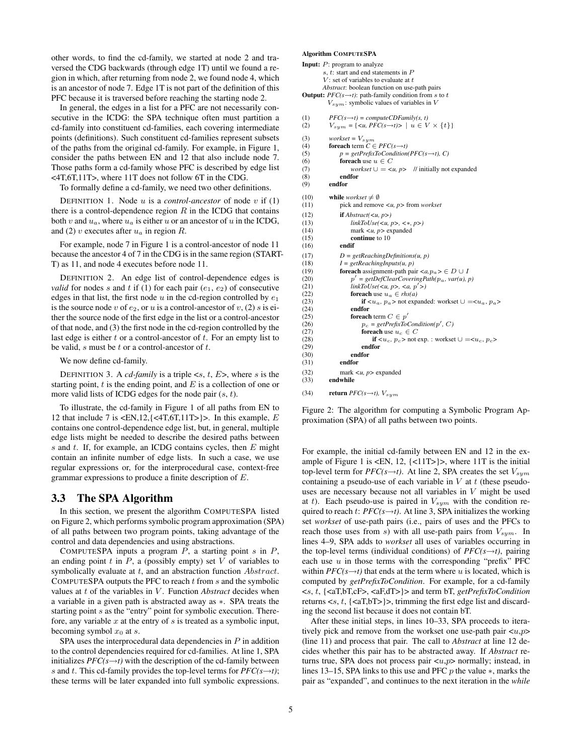other words, to find the cd-family, we started at node 2 and traversed the CDG backwards (through edge 1T) until we found a region in which, after returning from node 2, we found node 4, which is an ancestor of node 7. Edge 1T is not part of the definition of this PFC because it is traversed before reaching the starting node 2.

In general, the edges in a list for a PFC are not necessarily consecutive in the ICDG: the SPA technique often must partition a cd-family into constituent cd-families, each covering intermediate points (definitions). Such constituent cd-families represent subsets of the paths from the original cd-family. For example, in Figure 1, consider the paths between EN and 12 that also include node 7. Those paths form a cd-family whose PFC is described by edge list <4T,6T,11T>, where 11T does not follow 6T in the CDG.

To formally define a cd-family, we need two other definitions.

DEFINITION 1. Node  $u$  is a *control-ancestor* of node  $v$  if  $(1)$ there is a control-dependence region  $R$  in the ICDG that contains both v and  $u_a$ , where  $u_a$  is either u or an ancestor of u in the ICDG, and (2) v executes after  $u_a$  in region R.

For example, node 7 in Figure 1 is a control-ancestor of node 11 because the ancestor 4 of 7 in the CDG is in the same region (START-T) as 11, and node 4 executes before node 11.

DEFINITION 2. An edge list of control-dependence edges is *valid* for nodes s and t if (1) for each pair  $(e_1, e_2)$  of consecutive edges in that list, the first node u in the cd-region controlled by  $e_1$ is the source node v of  $e_2$ , or u is a control-ancestor of v, (2) s is either the source node of the first edge in the list or a control-ancestor of that node, and (3) the first node in the cd-region controlled by the last edge is either  $t$  or a control-ancestor of  $t$ . For an empty list to be valid,  $s$  must be  $t$  or a control-ancestor of  $t$ .

We now define cd-family.

DEFINITION 3. A *cd-family* is a triple  $\langle s, t, E \rangle$ , where s is the starting point,  $t$  is the ending point, and  $E$  is a collection of one or more valid lists of ICDG edges for the node pair  $(s, t)$ .

To illustrate, the cd-family in Figure 1 of all paths from EN to 12 that include 7 is  $\langle EN, 12, \{\langle 4T, 6T, 11T \rangle\} \rangle$ . In this example, E contains one control-dependence edge list, but, in general, multiple edge lists might be needed to describe the desired paths between s and t. If, for example, an ICDG contains cycles, then  $E$  might contain an infinite number of edge lists. In such a case, we use regular expressions or, for the interprocedural case, context-free grammar expressions to produce a finite description of E.

#### 3.3 The SPA Algorithm

In this section, we present the algorithm COMPUTESPA listed on Figure 2, which performs symbolic program approximation (SPA) of all paths between two program points, taking advantage of the control and data dependencies and using abstractions.

COMPUTESPA inputs a program  $P$ , a starting point  $s$  in  $P$ , an ending point  $t$  in  $P$ , a (possibly empty) set  $V$  of variables to symbolically evaluate at  $t$ , and an abstraction function  $Abstract$ . COMPUTESPA outputs the PFC to reach  $t$  from  $s$  and the symbolic values at t of the variables in V. Function *Abstract* decides when a variable in a given path is abstracted away as ∗. SPA treats the starting point s as the "entry" point for symbolic execution. Therefore, any variable  $x$  at the entry of  $s$  is treated as a symbolic input, becoming symbol  $x_0$  at s.

SPA uses the interprocedural data dependencies in  $P$  in addition to the control dependencies required for cd-families. At line 1, SPA initializes  $PFC(s \rightarrow t)$  with the description of the cd-family between s and t. This cd-family provides the top-level terms for  $PFC(s\rightarrow t)$ ; these terms will be later expanded into full symbolic expressions.

#### Algorithm COMPUTESPA

|              | <b>Input:</b> $P$ : program to analyze                                                     |
|--------------|--------------------------------------------------------------------------------------------|
|              | s, $t$ : start and end statements in $P$                                                   |
|              | V: set of variables to evaluate at $t$                                                     |
|              | Abstract: boolean function on use-path pairs                                               |
|              | <b>Output:</b> $PFC(s\rightarrow t)$ : path-family condition from s to t                   |
|              | $V_{sym}$ : symbolic values of variables in V                                              |
| (1)          | $PFC(s\rightarrow t) = compute CDFamily(s, t)$                                             |
| (2)          | $V_{sum} = \{ \langle u, PFC(s\rightarrow t) \rangle \mid u \in V \times \{t\} \}$         |
| (3)          | workset = $V_{sym}$                                                                        |
| (4)          | <b>foreach</b> term $C \in PFC(s \rightarrow t)$                                           |
| (5)          | $p = getPrefixToCondition(PFC(s\rightarrow t), C)$                                         |
| (6)          | foreach use $u \in C$                                                                      |
| (7)          | <i>workset</i> $\cup = \langle u, p \rangle$ // initially not expanded                     |
| (8)          | endfor                                                                                     |
| (9)          | endfor                                                                                     |
| (10)         | <b>while</b> workset $\neq \emptyset$                                                      |
| (11)         | pick and remove $\lt u$ , p from workset                                                   |
| (12)         | <b>if</b> $Abstract(u, p)$                                                                 |
| (13)         | $linkToUse(u, p>, <, p>)$                                                                  |
| (14)         | mark $\lt u$ , p $\gt$ expanded                                                            |
| (15)         | continue to 10                                                                             |
| (16)         | endif                                                                                      |
| (17)         | $D = getReachingDefinitions(u, p)$                                                         |
| (18)         | $I = getReachingInputStream(u, p)$                                                         |
| (19)         | <b>foreach</b> assignment-path pair $\langle a, p_a \rangle \in D \cup I$                  |
| (20)         | $p' = getDefClearCoveringPath(p_a, var(u), p)$                                             |
| (21)         | $linkToUse(\langle u, p \rangle, \langle a, p' \rangle)$                                   |
| (22)         | for each use $u_a \in \mathit{rhs}(a)$                                                     |
| (23)         | if $\langle u_a, p_a \rangle$ not expanded: workset $\cup =\langle u_a, p_a \rangle$       |
| (24)         | endfor                                                                                     |
| (25)         | <b>foreach</b> term $C \in p'$                                                             |
| (26)         | $p_c = getPrefixToCondition(p', C)$                                                        |
| (27)         | <b>foreach</b> use $u_c \in C$                                                             |
| (28)<br>(29) | if $\langle u_c, p_c \rangle$ not exp.: workset $\cup =\langle u_c, p_c \rangle$<br>endfor |
|              | endfor                                                                                     |
| (30)         | endfor                                                                                     |
| (31)         |                                                                                            |
| (32)         | mark $\langle u, p \rangle$ expanded                                                       |
| (33)         | endwhile                                                                                   |
| (34)         | return $PFC(s\rightarrow t)$ , $V_{sum}$                                                   |

Figure 2: The algorithm for computing a Symbolic Program Approximation (SPA) of all paths between two points.

For example, the initial cd-family between EN and 12 in the example of Figure 1 is <EN, 12, {<11T>}>, where 11T is the initial top-level term for  $PFC(s\rightarrow t)$ . At line 2, SPA creates the set  $V_{sym}$ containing a pseudo-use of each variable in  $V$  at  $t$  (these pseudouses are necessary because not all variables in V might be used at t). Each pseudo-use is paired in  $V_{sym}$  with the condition required to reach t:  $PFC(s\rightarrow t)$ . At line 3, SPA initializes the working set *workset* of use-path pairs (i.e., pairs of uses and the PFCs to reach those uses from s) with all use-path pairs from  $V_{sym}$ . In lines 4–9, SPA adds to *workset* all uses of variables occurring in the top-level terms (individual conditions) of  $PFC(s\rightarrow t)$ , pairing each use  $u$  in those terms with the corresponding "prefix" PFC within  $PFC(s\rightarrow t)$  that ends at the term where u is located, which is computed by *getPrefixToCondition*. For example, for a cd-family <s, t, {<aT,bT,cF>, <aF,dT>}> and term bT, *getPrefixToCondition* returns  $\langle s, t, \{ \langle aT, bT \rangle \} \rangle$ , trimming the first edge list and discarding the second list because it does not contain bT.

After these initial steps, in lines 10–33, SPA proceeds to iteratively pick and remove from the workset one use-path pair  $\langle u, p \rangle$ (line 11) and process that pair. The call to *Abstract* at line 12 decides whether this pair has to be abstracted away. If *Abstract* returns true, SPA does not process pair  $\langle u, p \rangle$  normally; instead, in lines 13–15, SPA links to this use and PFC p the value ∗, marks the pair as "expanded", and continues to the next iteration in the *while*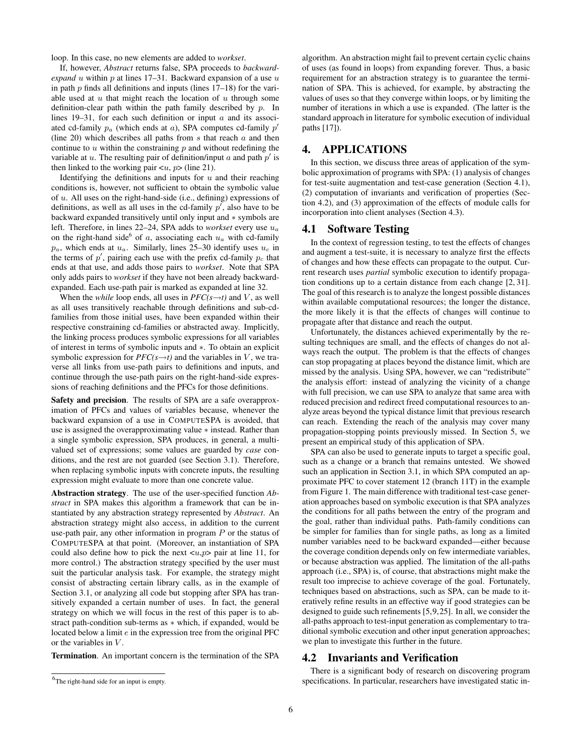loop. In this case, no new elements are added to *workset*.

If, however, *Abstract* returns false, SPA proceeds to *backwardexpand* u within  $p$  at lines 17–31. Backward expansion of a use  $u$ in path  $p$  finds all definitions and inputs (lines  $17-18$ ) for the variable used at  $u$  that might reach the location of  $u$  through some definition-clear path within the path family described by  $p$ . In lines 19–31, for each such definition or input  $a$  and its associated cd-family  $p_a$  (which ends at a), SPA computes cd-family  $p'$ (line 20) which describes all paths from  $s$  that reach  $a$  and then continue to  $u$  within the constraining  $p$  and without redefining the variable at u. The resulting pair of definition/input a and path  $p'$  is then linked to the working pair  $\langle u, p \rangle$  (line 21).

Identifying the definitions and inputs for  $u$  and their reaching conditions is, however, not sufficient to obtain the symbolic value of  $u$ . All uses on the right-hand-side (i.e., defining) expressions of definitions, as well as all uses in the cd-family  $p'$ , also have to be backward expanded transitively until only input and ∗ symbols are left. Therefore, in lines 22–24, SPA adds to *workset* every use u<sup>a</sup> on the right-hand side<sup>6</sup> of a, associating each  $u_a$  with cd-family  $p_a$ , which ends at  $u_a$ . Similarly, lines 25–30 identify uses  $u_c$  in the terms of  $p'$ , pairing each use with the prefix cd-family  $p_c$  that ends at that use, and adds those pairs to *workset*. Note that SPA only adds pairs to *workset* if they have not been already backwardexpanded. Each use-path pair is marked as expanded at line 32.

When the *while* loop ends, all uses in  $PFC(s \rightarrow t)$  and V, as well as all uses transitively reachable through definitions and sub-cdfamilies from those initial uses, have been expanded within their respective constraining cd-families or abstracted away. Implicitly, the linking process produces symbolic expressions for all variables of interest in terms of symbolic inputs and ∗. To obtain an explicit symbolic expression for  $PFC(s \rightarrow t)$  and the variables in V, we traverse all links from use-path pairs to definitions and inputs, and continue through the use-path pairs on the right-hand-side expressions of reaching definitions and the PFCs for those definitions.

Safety and precision. The results of SPA are a safe overapproximation of PFCs and values of variables because, whenever the backward expansion of a use in COMPUTESPA is avoided, that use is assigned the overapproximating value ∗ instead. Rather than a single symbolic expression, SPA produces, in general, a multivalued set of expressions; some values are guarded by *case* conditions, and the rest are not guarded (see Section 3.1). Therefore, when replacing symbolic inputs with concrete inputs, the resulting expression might evaluate to more than one concrete value.

Abstraction strategy. The use of the user-specified function *Abstract* in SPA makes this algorithm a framework that can be instantiated by any abstraction strategy represented by *Abstract*. An abstraction strategy might also access, in addition to the current use-path pair, any other information in program  $P$  or the status of COMPUTESPA at that point. (Moreover, an instantiation of SPA could also define how to pick the next  $\langle u, p \rangle$  pair at line 11, for more control.) The abstraction strategy specified by the user must suit the particular analysis task. For example, the strategy might consist of abstracting certain library calls, as in the example of Section 3.1, or analyzing all code but stopping after SPA has transitively expanded a certain number of uses. In fact, the general strategy on which we will focus in the rest of this paper is to abstract path-condition sub-terms as ∗ which, if expanded, would be located below a limit e in the expression tree from the original PFC or the variables in  $V$ .

Termination. An important concern is the termination of the SPA

algorithm. An abstraction might fail to prevent certain cyclic chains of uses (as found in loops) from expanding forever. Thus, a basic requirement for an abstraction strategy is to guarantee the termination of SPA. This is achieved, for example, by abstracting the values of uses so that they converge within loops, or by limiting the number of iterations in which a use is expanded. (The latter is the standard approach in literature for symbolic execution of individual paths [17]).

# 4. APPLICATIONS

In this section, we discuss three areas of application of the symbolic approximation of programs with SPA: (1) analysis of changes for test-suite augmentation and test-case generation (Section 4.1), (2) computation of invariants and verification of properties (Section 4.2), and (3) approximation of the effects of module calls for incorporation into client analyses (Section 4.3).

## 4.1 Software Testing

In the context of regression testing, to test the effects of changes and augment a test-suite, it is necessary to analyze first the effects of changes and how these effects can propagate to the output. Current research uses *partial* symbolic execution to identify propagation conditions up to a certain distance from each change [2, 31]. The goal of this research is to analyze the longest possible distances within available computational resources; the longer the distance, the more likely it is that the effects of changes will continue to propagate after that distance and reach the output.

Unfortunately, the distances achieved experimentally by the resulting techniques are small, and the effects of changes do not always reach the output. The problem is that the effects of changes can stop propagating at places beyond the distance limit, which are missed by the analysis. Using SPA, however, we can "redistribute" the analysis effort: instead of analyzing the vicinity of a change with full precision, we can use SPA to analyze that same area with reduced precision and redirect freed computational resources to analyze areas beyond the typical distance limit that previous research can reach. Extending the reach of the analysis may cover many propagation-stopping points previously missed. In Section 5, we present an empirical study of this application of SPA.

SPA can also be used to generate inputs to target a specific goal, such as a change or a branch that remains untested. We showed such an application in Section 3.1, in which SPA computed an approximate PFC to cover statement 12 (branch 11T) in the example from Figure 1. The main difference with traditional test-case generation approaches based on symbolic execution is that SPA analyzes the conditions for all paths between the entry of the program and the goal, rather than individual paths. Path-family conditions can be simpler for families than for single paths, as long as a limited number variables need to be backward expanded—either because the coverage condition depends only on few intermediate variables, or because abstraction was applied. The limitation of the all-paths approach (i.e., SPA) is, of course, that abstractions might make the result too imprecise to achieve coverage of the goal. Fortunately, techniques based on abstractions, such as SPA, can be made to iteratively refine results in an effective way if good strategies can be designed to guide such refinements [5,9,25]. In all, we consider the all-paths approach to test-input generation as complementary to traditional symbolic execution and other input generation approaches; we plan to investigate this further in the future.

#### 4.2 Invariants and Verification

There is a significant body of research on discovering program specifications. In particular, researchers have investigated static in-

<sup>&</sup>lt;sup>6</sup>The right-hand side for an input is empty.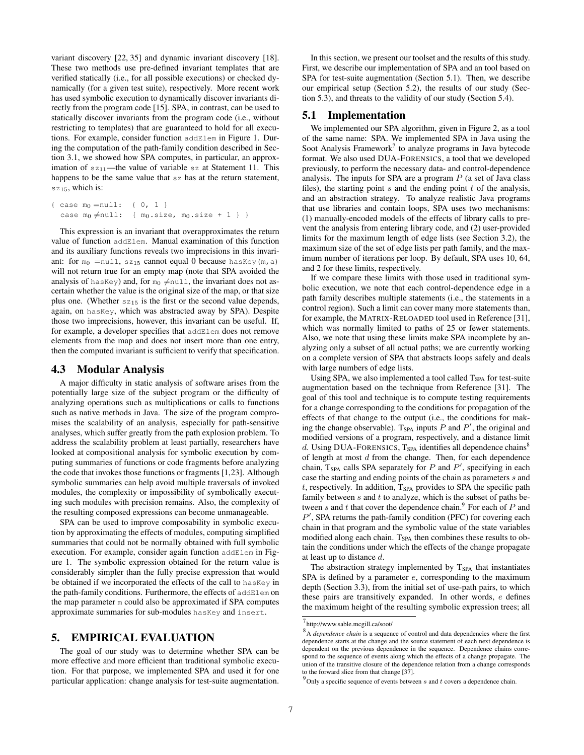variant discovery [22, 35] and dynamic invariant discovery [18]. These two methods use pre-defined invariant templates that are verified statically (i.e., for all possible executions) or checked dynamically (for a given test suite), respectively. More recent work has used symbolic execution to dynamically discover invariants directly from the program code [15]. SPA, in contrast, can be used to statically discover invariants from the program code (i.e., without restricting to templates) that are guaranteed to hold for all executions. For example, consider function addElem in Figure 1. During the computation of the path-family condition described in Section 3.1, we showed how SPA computes, in particular, an approximation of  $sz_{11}$ —the value of variable sz at Statement 11. This happens to be the same value that sz has at the return statement, sz<sub>15</sub>, which is:

```
{ case m_0 = null: { 0, 1 }
case m_0 \neq null: { m_0.size, m_0.size + 1 } }
```
This expression is an invariant that overapproximates the return value of function addElem. Manual examination of this function and its auxiliary functions reveals two imprecisions in this invariant: for  $m_0$  =null, sz<sub>15</sub> cannot equal 0 because hasKey(m, a) will not return true for an empty map (note that SPA avoided the analysis of hasKey) and, for  $m_0 \neq n$ ull, the invariant does not ascertain whether the value is the original size of the map, or that size plus one. (Whether  $sz_{15}$  is the first or the second value depends, again, on hasKey, which was abstracted away by SPA). Despite those two imprecisions, however, this invariant can be useful. If, for example, a developer specifies that addElem does not remove elements from the map and does not insert more than one entry, then the computed invariant is sufficient to verify that specification.

#### 4.3 Modular Analysis

A major difficulty in static analysis of software arises from the potentially large size of the subject program or the difficulty of analyzing operations such as multiplications or calls to functions such as native methods in Java. The size of the program compromises the scalability of an analysis, especially for path-sensitive analyses, which suffer greatly from the path explosion problem. To address the scalability problem at least partially, researchers have looked at compositional analysis for symbolic execution by computing summaries of functions or code fragments before analyzing the code that invokes those functions or fragments [1,23]. Although symbolic summaries can help avoid multiple traversals of invoked modules, the complexity or impossibility of symbolically executing such modules with precision remains. Also, the complexity of the resulting composed expressions can become unmanageable.

SPA can be used to improve composability in symbolic execution by approximating the effects of modules, computing simplified summaries that could not be normally obtained with full symbolic execution. For example, consider again function addElem in Figure 1. The symbolic expression obtained for the return value is considerably simpler than the fully precise expression that would be obtained if we incorporated the effects of the call to hasKey in the path-family conditions. Furthermore, the effects of addElem on the map parameter m could also be approximated if SPA computes approximate summaries for sub-modules hasKey and insert.

# 5. EMPIRICAL EVALUATION

The goal of our study was to determine whether SPA can be more effective and more efficient than traditional symbolic execution. For that purpose, we implemented SPA and used it for one particular application: change analysis for test-suite augmentation.

In this section, we present our toolset and the results of this study. First, we describe our implementation of SPA and an tool based on SPA for test-suite augmentation (Section 5.1). Then, we describe our empirical setup (Section 5.2), the results of our study (Section 5.3), and threats to the validity of our study (Section 5.4).

## 5.1 Implementation

We implemented our SPA algorithm, given in Figure 2, as a tool of the same name: SPA. We implemented SPA in Java using the Soot Analysis Framework<sup>7</sup> to analyze programs in Java bytecode format. We also used DUA-FORENSICS, a tool that we developed previously, to perform the necessary data- and control-dependence analysis. The inputs for SPA are a program  $P$  (a set of Java class files), the starting point  $s$  and the ending point  $t$  of the analysis, and an abstraction strategy. To analyze realistic Java programs that use libraries and contain loops, SPA uses two mechanisms: (1) manually-encoded models of the effects of library calls to prevent the analysis from entering library code, and (2) user-provided limits for the maximum length of edge lists (see Section 3.2), the maximum size of the set of edge lists per path family, and the maximum number of iterations per loop. By default, SPA uses 10, 64, and 2 for these limits, respectively.

If we compare these limits with those used in traditional symbolic execution, we note that each control-dependence edge in a path family describes multiple statements (i.e., the statements in a control region). Such a limit can cover many more statements than, for example, the MATRIX-RELOADED tool used in Reference [31], which was normally limited to paths of 25 or fewer statements. Also, we note that using these limits make SPA incomplete by analyzing only a subset of all actual paths; we are currently working on a complete version of SPA that abstracts loops safely and deals with large numbers of edge lists.

Using SPA, we also implemented a tool called T<sub>SPA</sub> for test-suite augmentation based on the technique from Reference [31]. The goal of this tool and technique is to compute testing requirements for a change corresponding to the conditions for propagation of the effects of that change to the output (i.e., the conditions for making the change observable).  $T_{SPA}$  inputs  $P$  and  $P'$ , the original and modified versions of a program, respectively, and a distance limit d. Using DUA-FORENSICS,  $T_{SPA}$  identifies all dependence chains<sup>8</sup> of length at most d from the change. Then, for each dependence chain,  $T_{SPA}$  calls SPA separately for  $P$  and  $P'$ , specifying in each case the starting and ending points of the chain as parameters s and  $t$ , respectively. In addition,  $T_{SPA}$  provides to SPA the specific path family between  $s$  and  $t$  to analyze, which is the subset of paths between s and t that cover the dependence chain.<sup>9</sup> For each of  $P$  and  $P'$ , SPA returns the path-family condition (PFC) for covering each chain in that program and the symbolic value of the state variables modified along each chain.  $T<sub>SPA</sub>$  then combines these results to obtain the conditions under which the effects of the change propagate at least up to distance d.

The abstraction strategy implemented by  $T<sub>SPA</sub>$  that instantiates SPA is defined by a parameter  $e$ , corresponding to the maximum depth (Section 3.3), from the initial set of use-path pairs, to which these pairs are transitively expanded. In other words, e defines the maximum height of the resulting symbolic expression trees; all

<sup>7</sup> http://www.sable.mcgill.ca/soot/

<sup>8</sup> A *dependence chain* is a sequence of control and data dependencies where the first dependence starts at the change and the source statement of each next dependence is dependent on the previous dependence in the sequence. Dependence chains correspond to the sequence of events along which the effects of a change propagate. The union of the transitive closure of the dependence relation from a change corresponds to the forward slice from that change [37].

 $^{9}$ Only a specific sequence of events between s and t covers a dependence chain.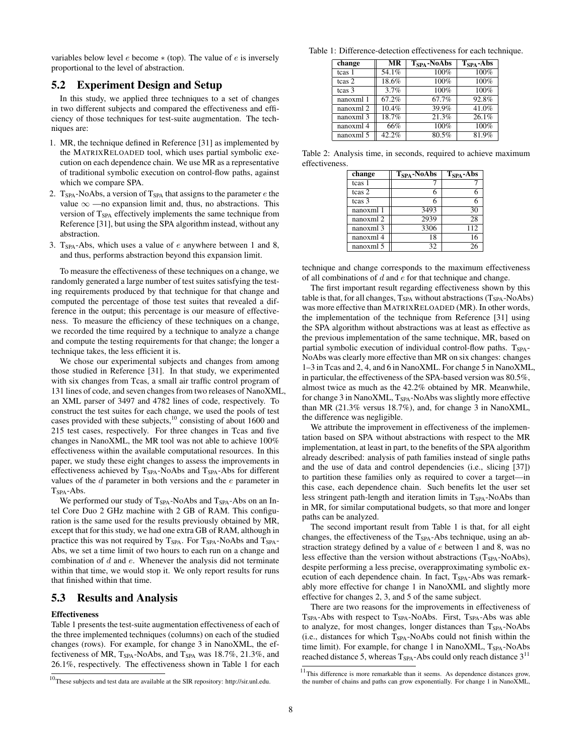variables below level  $e$  become  $*(top)$ . The value of  $e$  is inversely proportional to the level of abstraction.

# 5.2 Experiment Design and Setup

In this study, we applied three techniques to a set of changes in two different subjects and compared the effectiveness and efficiency of those techniques for test-suite augmentation. The techniques are:

- 1. MR, the technique defined in Reference [31] as implemented by the MATRIXRELOADED tool, which uses partial symbolic execution on each dependence chain. We use MR as a representative of traditional symbolic execution on control-flow paths, against which we compare SPA.
- 2.  $T<sub>SPA</sub>$ -NoAbs, a version of  $T<sub>SPA</sub>$  that assigns to the parameter  $e$  the value  $\infty$  —no expansion limit and, thus, no abstractions. This version of  $T<sub>SPA</sub>$  effectively implements the same technique from Reference [31], but using the SPA algorithm instead, without any abstraction.
- 3. T<sub>SPA</sub>-Abs, which uses a value of  $e$  anywhere between 1 and 8, and thus, performs abstraction beyond this expansion limit.

To measure the effectiveness of these techniques on a change, we randomly generated a large number of test suites satisfying the testing requirements produced by that technique for that change and computed the percentage of those test suites that revealed a difference in the output; this percentage is our measure of effectiveness. To measure the efficiency of these techniques on a change, we recorded the time required by a technique to analyze a change and compute the testing requirements for that change; the longer a technique takes, the less efficient it is.

We chose our experimental subjects and changes from among those studied in Reference [31]. In that study, we experimented with six changes from Tcas, a small air traffic control program of 131 lines of code, and seven changes from two releases of NanoXML, an XML parser of 3497 and 4782 lines of code, respectively. To construct the test suites for each change, we used the pools of test cases provided with these subjects,<sup>10</sup> consisting of about 1600 and 215 test cases, respectively. For three changes in Tcas and five changes in NanoXML, the MR tool was not able to achieve 100% effectiveness within the available computational resources. In this paper, we study these eight changes to assess the improvements in effectiveness achieved by T<sub>SPA</sub>-NoAbs and T<sub>SPA</sub>-Abs for different values of the  $d$  parameter in both versions and the  $e$  parameter in TSPA-Abs.

We performed our study of T<sub>SPA</sub>-NoAbs and T<sub>SPA</sub>-Abs on an Intel Core Duo 2 GHz machine with 2 GB of RAM. This configuration is the same used for the results previously obtained by MR, except that for this study, we had one extra GB of RAM, although in practice this was not required by  $T_{SPA}$ . For  $T_{SPA}$ -NoAbs and  $T_{SPA}$ -Abs, we set a time limit of two hours to each run on a change and combination of  $d$  and  $e$ . Whenever the analysis did not terminate within that time, we would stop it. We only report results for runs that finished within that time.

## 5.3 Results and Analysis

#### Effectiveness

Table 1 presents the test-suite augmentation effectiveness of each of the three implemented techniques (columns) on each of the studied changes (rows). For example, for change 3 in NanoXML, the effectiveness of MR, T<sub>SPA</sub>-NoAbs, and T<sub>SPA</sub> was 18.7%, 21.3%, and 26.1%, respectively. The effectiveness shown in Table 1 for each

Table 1: Difference-detection effectiveness for each technique.

| change    | MR    | T <sub>SPA</sub> -NoAbs | $TSPA - Abs$ |
|-----------|-------|-------------------------|--------------|
| tcas 1    | 54.1% | 100%                    | 100%         |
| tcas 2    | 18.6% | 100%                    | 100%         |
| tcas 3    | 3.7%  | 100%                    | $100\%$      |
| nanoxml 1 | 67.2% | 67.7%                   | 92.8%        |
| nanoxml 2 | 10.4% | 39.9%                   | 41.0%        |
| nanoxml 3 | 18.7% | 21.3%                   | 26.1%        |
| nanoxml 4 | 66%   | 100%                    | 100%         |
| nanoxml 5 | 42.2% | 80.5%                   | $81.9\%$     |

Table 2: Analysis time, in seconds, required to achieve maximum effectiveness.

| change               | $TSPA - NoAbs$ | $TSPA - Abs$ |
|----------------------|----------------|--------------|
| tcas 1               |                |              |
| tcas 2               |                |              |
| tcas 3               |                |              |
| nanoxml 1            | 3493           | 30           |
| nanoxml 2            | 2939           | 28           |
| nanoxml <sub>3</sub> | 3306           | 112          |
| nanoxml 4            | 18             | 16           |
| nanoxml 5            | 32             | 26           |

technique and change corresponds to the maximum effectiveness of all combinations of  $d$  and  $e$  for that technique and change.

The first important result regarding effectiveness shown by this table is that, for all changes, T<sub>SPA</sub> without abstractions (T<sub>SPA</sub>-NoAbs) was more effective than MATRIXRELOADED (MR). In other words, the implementation of the technique from Reference [31] using the SPA algorithm without abstractions was at least as effective as the previous implementation of the same technique, MR, based on partial symbolic execution of individual control-flow paths.  $T_{SPA}$ -NoAbs was clearly more effective than MR on six changes: changes 1–3 in Tcas and 2, 4, and 6 in NanoXML. For change 5 in NanoXML, in particular, the effectiveness of the SPA-based version was 80.5%, almost twice as much as the 42.2% obtained by MR. Meanwhile, for change 3 in NanoXML, T<sub>SPA</sub>-NoAbs was slightly more effective than MR (21.3% versus 18.7%), and, for change 3 in NanoXML, the difference was negligible.

We attribute the improvement in effectiveness of the implementation based on SPA without abstractions with respect to the MR implementation, at least in part, to the benefits of the SPA algorithm already described: analysis of path families instead of single paths and the use of data and control dependencies (i.e., slicing [37]) to partition these families only as required to cover a target—in this case, each dependence chain. Such benefits let the user set less stringent path-length and iteration limits in T<sub>SPA</sub>-NoAbs than in MR, for similar computational budgets, so that more and longer paths can be analyzed.

The second important result from Table 1 is that, for all eight changes, the effectiveness of the  $T<sub>SPA</sub>$ -Abs technique, using an abstraction strategy defined by a value of e between 1 and 8, was no less effective than the version without abstractions  $(T<sub>SPA</sub>-NoAbs)$ , despite performing a less precise, overapproximating symbolic execution of each dependence chain. In fact, T<sub>SPA</sub>-Abs was remarkably more effective for change 1 in NanoXML and slightly more effective for changes 2, 3, and 5 of the same subject.

There are two reasons for the improvements in effectiveness of  $T<sub>SPA</sub>-Abs$  with respect to  $T<sub>SPA</sub>-NoAbs$ . First,  $T<sub>SPA</sub>-Abs$  was able to analyze, for most changes, longer distances than T<sub>SPA</sub>-NoAbs (i.e., distances for which  $T<sub>SPA</sub>$ -NoAbs could not finish within the time limit). For example, for change 1 in NanoXML,  $T<sub>SPA</sub>$ -NoAbs reached distance 5, whereas  $T_{SPA}$ -Abs could only reach distance  $3<sup>11</sup>$ 

 $10$ These subjects and test data are available at the SIR repository: http://sir.unl.edu.

<sup>&</sup>lt;sup>11</sup>This difference is more remarkable than it seems. As dependence distances grow, the number of chains and paths can grow exponentially. For change 1 in NanoXML,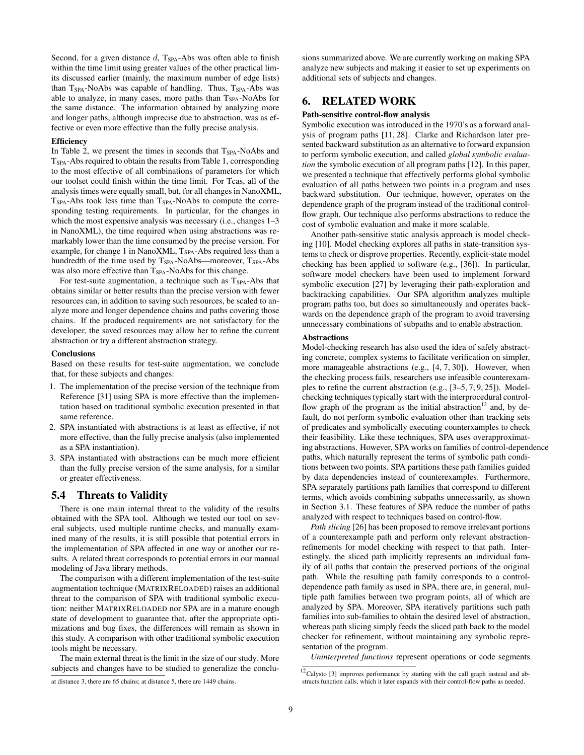Second, for a given distance  $d$ ,  $T_{SPA}$ -Abs was often able to finish within the time limit using greater values of the other practical limits discussed earlier (mainly, the maximum number of edge lists) than  $T<sub>SPA</sub>$ -NoAbs was capable of handling. Thus,  $T<sub>SPA</sub>$ -Abs was able to analyze, in many cases, more paths than T<sub>SPA</sub>-NoAbs for the same distance. The information obtained by analyzing more and longer paths, although imprecise due to abstraction, was as effective or even more effective than the fully precise analysis.

#### **Efficiency**

In Table 2, we present the times in seconds that  $T<sub>SPA</sub>$ -NoAbs and TSPA-Abs required to obtain the results from Table 1, corresponding to the most effective of all combinations of parameters for which our toolset could finish within the time limit. For Tcas, all of the analysis times were equally small, but, for all changes in NanoXML,  $T<sub>SPA</sub>$ -Abs took less time than  $T<sub>SPA</sub>$ -NoAbs to compute the corresponding testing requirements. In particular, for the changes in which the most expensive analysis was necessary (i.e., changes 1–3 in NanoXML), the time required when using abstractions was remarkably lower than the time consumed by the precise version. For example, for change 1 in NanoXML, T<sub>SPA</sub>-Abs required less than a hundredth of the time used by T<sub>SPA</sub>-NoAbs—moreover, T<sub>SPA</sub>-Abs was also more effective than T<sub>SPA</sub>-NoAbs for this change.

For test-suite augmentation, a technique such as  $T<sub>SPA</sub>$ -Abs that obtains similar or better results than the precise version with fewer resources can, in addition to saving such resources, be scaled to analyze more and longer dependence chains and paths covering those chains. If the produced requirements are not satisfactory for the developer, the saved resources may allow her to refine the current abstraction or try a different abstraction strategy.

#### **Conclusions**

Based on these results for test-suite augmentation, we conclude that, for these subjects and changes:

- 1. The implementation of the precise version of the technique from Reference [31] using SPA is more effective than the implementation based on traditional symbolic execution presented in that same reference.
- 2. SPA instantiated with abstractions is at least as effective, if not more effective, than the fully precise analysis (also implemented as a SPA instantiation).
- 3. SPA instantiated with abstractions can be much more efficient than the fully precise version of the same analysis, for a similar or greater effectiveness.

#### 5.4 Threats to Validity

There is one main internal threat to the validity of the results obtained with the SPA tool. Although we tested our tool on several subjects, used multiple runtime checks, and manually examined many of the results, it is still possible that potential errors in the implementation of SPA affected in one way or another our results. A related threat corresponds to potential errors in our manual modeling of Java library methods.

The comparison with a different implementation of the test-suite augmentation technique (MATRIXRELOADED) raises an additional threat to the comparison of SPA with traditional symbolic execution: neither MATRIXRELOADED nor SPA are in a mature enough state of development to guarantee that, after the appropriate optimizations and bug fixes, the differences will remain as shown in this study. A comparison with other traditional symbolic execution tools might be necessary.

The main external threat is the limit in the size of our study. More subjects and changes have to be studied to generalize the conclusions summarized above. We are currently working on making SPA analyze new subjects and making it easier to set up experiments on additional sets of subjects and changes.

# 6. RELATED WORK

#### Path-sensitive control-flow analysis

Symbolic execution was introduced in the 1970's as a forward analysis of program paths [11, 28]. Clarke and Richardson later presented backward substitution as an alternative to forward expansion to perform symbolic execution, and called *global symbolic evaluation* the symbolic execution of all program paths [12]. In this paper, we presented a technique that effectively performs global symbolic evaluation of all paths between two points in a program and uses backward substitution. Our technique, however, operates on the dependence graph of the program instead of the traditional controlflow graph. Our technique also performs abstractions to reduce the cost of symbolic evaluation and make it more scalable.

Another path-sensitive static analysis approach is model checking [10]. Model checking explores all paths in state-transition systems to check or disprove properties. Recently, explicit-state model checking has been applied to software (e.g., [36]). In particular, software model checkers have been used to implement forward symbolic execution [27] by leveraging their path-exploration and backtracking capabilities. Our SPA algorithm analyzes multiple program paths too, but does so simultaneously and operates backwards on the dependence graph of the program to avoid traversing unnecessary combinations of subpaths and to enable abstraction.

#### Abstractions

Model-checking research has also used the idea of safely abstracting concrete, complex systems to facilitate verification on simpler, more manageable abstractions (e.g., [4, 7, 30]). However, when the checking process fails, researchers use infeasible counterexamples to refine the current abstraction (e.g., [3–5, 7, 9, 25]). Modelchecking techniques typically start with the interprocedural controlflow graph of the program as the initial abstraction<sup>12</sup> and, by default, do not perform symbolic evaluation other than tracking sets of predicates and symbolically executing counterxamples to check their feasibility. Like these techniques, SPA uses overapproximating abstractions. However, SPA works on families of control-dependence paths, which naturally represent the terms of symbolic path conditions between two points. SPA partitions these path families guided by data dependencies instead of counterexamples. Furthermore, SPA separately partitions path families that correspond to different terms, which avoids combining subpaths unnecessarily, as shown in Section 3.1. These features of SPA reduce the number of paths analyzed with respect to techniques based on control-flow.

*Path slicing* [26] has been proposed to remove irrelevant portions of a counterexample path and perform only relevant abstractionrefinements for model checking with respect to that path. Interestingly, the sliced path implicitly represents an individual family of all paths that contain the preserved portions of the original path. While the resulting path family corresponds to a controldependence path family as used in SPA, there are, in general, multiple path families between two program points, all of which are analyzed by SPA. Moreover, SPA iteratively partitions such path families into sub-families to obtain the desired level of abstraction, whereas path slicing simply feeds the sliced path back to the model checker for refinement, without maintaining any symbolic representation of the program.

*Uninterpreted functions* represent operations or code segments

at distance 3, there are 65 chains; at distance 5, there are 1449 chains.

 $12$ Calysto [3] improves performance by starting with the call graph instead and abstracts function calls, which it later expands with their control-flow paths as needed.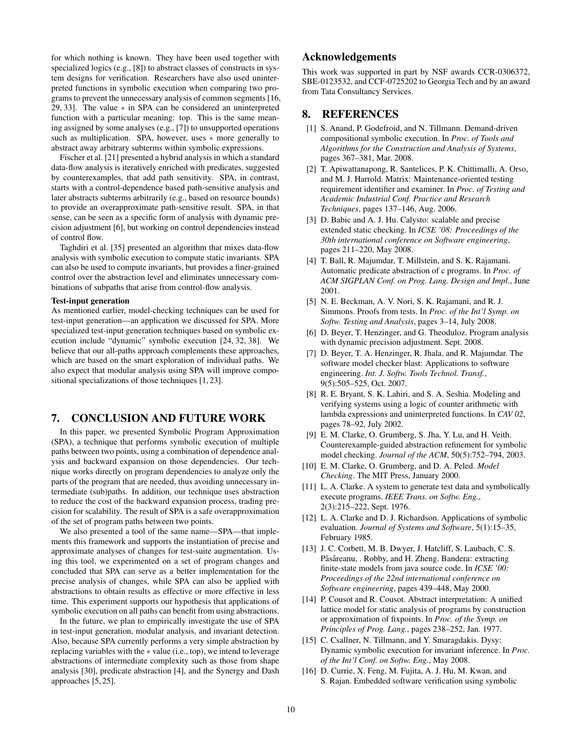for which nothing is known. They have been used together with specialized logics (e.g., [8]) to abstract classes of constructs in system designs for verification. Researchers have also used uninterpreted functions in symbolic execution when comparing two programs to prevent the unnecessary analysis of common segments [16, 29, 33]. The value ∗ in SPA can be considered an uninterpreted function with a particular meaning: top. This is the same meaning assigned by some analyses (e.g., [7]) to unsupported operations such as multiplication. SPA, however, uses ∗ more generally to abstract away arbitrary subterms within symbolic expressions.

Fischer et al. [21] presented a hybrid analysis in which a standard data-flow analysis is iteratively enriched with predicates, suggested by counterexamples, that add path sensitivity. SPA, in contrast, starts with a control-dependence based path-sensitive analysis and later abstracts subterms arbitrarily (e.g., based on resource bounds) to provide an overapproximate path-sensitive result. SPA, in that sense, can be seen as a specific form of analysis with dynamic precision adjustment [6], but working on control dependencies instead of control flow.

Taghdiri et al. [35] presented an algorithm that mixes data-flow analysis with symbolic execution to compute static invariants. SPA can also be used to compute invariants, but provides a finer-grained control over the abstraction level and eliminates unnecessary combinations of subpaths that arise from control-flow analysis.

#### Test-input generation

As mentioned earlier, model-checking techniques can be used for test-input generation—an application we discussed for SPA. More specialized test-input generation techniques based on symbolic execution include "dynamic" symbolic execution [24, 32, 38]. We believe that our all-paths approach complements these approaches, which are based on the smart exploration of individual paths. We also expect that modular analysis using SPA will improve compositional specializations of those techniques [1, 23].

## 7. CONCLUSION AND FUTURE WORK

In this paper, we presented Symbolic Program Approximation (SPA), a technique that performs symbolic execution of multiple paths between two points, using a combination of dependence analysis and backward expansion on those dependencies. Our technique works directly on program dependencies to analyze only the parts of the program that are needed, thus avoiding unnecessary intermediate (sub)paths. In addition, our technique uses abstraction to reduce the cost of the backward expansion process, trading precision for scalability. The result of SPA is a safe overapproximation of the set of program paths between two points.

We also presented a tool of the same name—SPA—that implements this framework and supports the instantiation of precise and approximate analyses of changes for test-suite augmentation. Using this tool, we experimented on a set of program changes and concluded that SPA can serve as a better implementation for the precise analysis of changes, while SPA can also be applied with abstractions to obtain results as effective or more effective in less time. This experiment supports our hypothesis that applications of symbolic execution on all paths can benefit from using abstractions.

In the future, we plan to empirically investigate the use of SPA in test-input generation, modular analysis, and invariant detection. Also, because SPA currently performs a very simple abstraction by replacing variables with the ∗ value (i.e., top), we intend to leverage abstractions of intermediate complexity such as those from shape analysis [30], predicate abstraction [4], and the Synergy and Dash approaches [5, 25].

# Acknowledgements

This work was supported in part by NSF awards CCR-0306372, SBE-0123532, and CCF-0725202 to Georgia Tech and by an award from Tata Consultancy Services.

## 8. REFERENCES

- [1] S. Anand, P. Godefroid, and N. Tillmann. Demand-driven compositional symbolic execution. In *Proc. of Tools and Algorithms for the Construction and Analysis of Systems*, pages 367–381, Mar. 2008.
- [2] T. Apiwattanapong, R. Santelices, P. K. Chittimalli, A. Orso, and M. J. Harrold. Matrix: Maintenance-oriented testing requirement identifier and examiner. In *Proc. of Testing and Academic Industrial Conf. Practice and Research Techniques*, pages 137–146, Aug. 2006.
- [3] D. Babic and A. J. Hu. Calysto: scalable and precise extended static checking. In *ICSE '08: Proceedings of the 30th international conference on Software engineering*, pages 211–220, May 2008.
- [4] T. Ball, R. Majumdar, T. Millstein, and S. K. Rajamani. Automatic predicate abstraction of c programs. In *Proc. of ACM SIGPLAN Conf. on Prog. Lang. Design and Impl.*, June 2001.
- [5] N. E. Beckman, A. V. Nori, S. K. Rajamani, and R. J. Simmons. Proofs from tests. In *Proc. of the Int'l Symp. on Softw. Testing and Analysis*, pages 3–14, July 2008.
- [6] D. Beyer, T. Henzinger, and G. Theoduloz. Program analysis with dynamic precision adjustment. Sept. 2008.
- [7] D. Beyer, T. A. Henzinger, R. Jhala, and R. Majumdar. The software model checker blast: Applications to software engineering. *Int. J. Softw. Tools Technol. Transf.*, 9(5):505–525, Oct. 2007.
- [8] R. E. Bryant, S. K. Lahiri, and S. A. Seshia. Modeling and verifying systems using a logic of counter arithmetic with lambda expressions and uninterpreted functions. In *CAV 02*, pages 78–92, July 2002.
- [9] E. M. Clarke, O. Grumberg, S. Jha, Y. Lu, and H. Veith. Counterexample-guided abstraction refinement for symbolic model checking. *Journal of the ACM*, 50(5):752–794, 2003.
- [10] E. M. Clarke, O. Grumberg, and D. A. Peled. *Model Checking*. The MIT Press, January 2000.
- [11] L. A. Clarke. A system to generate test data and symbolically execute programs. *IEEE Trans. on Softw. Eng.*, 2(3):215–222, Sept. 1976.
- [12] L. A. Clarke and D. J. Richardson. Applications of symbolic evaluation. *Journal of Systems and Software*, 5(1):15–35, February 1985.
- [13] J. C. Corbett, M. B. Dwyer, J. Hatcliff, S. Laubach, C. S. Păsăreanu, . Robby, and H. Zheng. Bandera: extracting finite-state models from java source code. In *ICSE '00: Proceedings of the 22nd international conference on Software engineering*, pages 439–448, May 2000.
- [14] P. Cousot and R. Cousot. Abstract interpretation: A unified lattice model for static analysis of programs by construction or approximation of fixpoints. In *Proc. of the Symp. on Principles of Prog. Lang.*, pages 238–252, Jan. 1977.
- [15] C. Csallner, N. Tillmann, and Y. Smaragdakis. Dysy: Dynamic symbolic execution for invariant inference. In *Proc. of the Int'l Conf. on Softw. Eng.*, May 2008.
- [16] D. Currie, X. Feng, M. Fujita, A. J. Hu, M. Kwan, and S. Rajan. Embedded software verification using symbolic